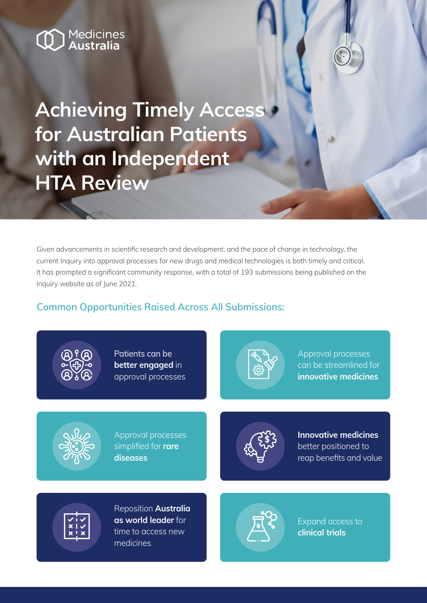# Medicines<br>**Australia**

**Achieving Timely Access for Australian Patients with an Independent HTA Review**

Given advancements in scientific research and development, and the pace of change in technology, the current Inquiry into approval processes for new drugs and medical technologies is both timely and critical. It has prompted a significant community response, with a total of 193 submissions being published on the Inquiry website as of June 2021.

# **Common Opportunities Raised Across All Submissions:**



Patients can be **better engaged** in approval processes



Approval processes can be streamlined for **innovative medicines**



Approval processes simplified for **rare diseases**



**Innovative medicines** better positioned to reap benefits and value



Reposition **Australia as world leader** for time to access new medicines



Expand access to **clinical trials**